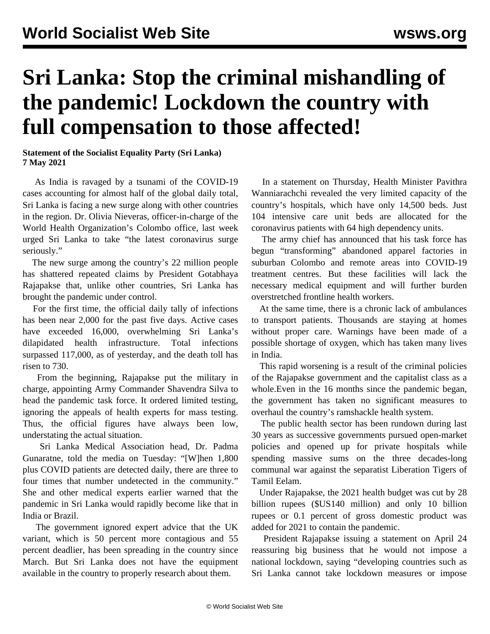## **Sri Lanka: Stop the criminal mishandling of the pandemic! Lockdown the country with full compensation to those affected!**

**Statement of the Socialist Equality Party (Sri Lanka) 7 May 2021**

 As India is ravaged by a tsunami of the COVID-19 cases accounting for almost half of the global daily total, Sri Lanka is facing a new surge along with other countries in the region. Dr. Olivia Nieveras, officer-in-charge of the World Health Organization's Colombo office, last week urged Sri Lanka to take "the latest coronavirus surge seriously."

 The new surge among the country's 22 million people has shattered repeated claims by President Gotabhaya Rajapakse that, unlike other countries, Sri Lanka has brought the pandemic under control.

 For the first time, the official daily tally of infections has been near 2,000 for the past five days. Active cases have exceeded 16,000, overwhelming Sri Lanka's dilapidated health infrastructure. Total infections surpassed 117,000, as of yesterday, and the death toll has risen to 730.

 From the beginning, Rajapakse put the military in charge, appointing Army Commander Shavendra Silva to head the pandemic task force. It ordered limited testing, ignoring the appeals of health experts for mass testing. Thus, the official figures have always been low, understating the actual situation.

 Sri Lanka Medical Association head, Dr. Padma Gunaratne, told the media on Tuesday: "[W]hen 1,800 plus COVID patients are detected daily, there are three to four times that number undetected in the community." She and other medical experts earlier warned that the pandemic in Sri Lanka would rapidly become like that in India or Brazil.

 The government ignored expert advice that the UK variant, which is 50 percent more contagious and 55 percent deadlier, has been spreading in the country since March. But Sri Lanka does not have the equipment available in the country to properly research about them.

 In a statement on Thursday, Health Minister Pavithra Wanniarachchi revealed the very limited capacity of the country's hospitals, which have only 14,500 beds. Just 104 intensive care unit beds are allocated for the coronavirus patients with 64 high dependency units.

 The army chief has announced that his task force has begun "transforming" abandoned apparel factories in suburban Colombo and remote areas into COVID-19 treatment centres. But these facilities will lack the necessary medical equipment and will further burden overstretched frontline health workers.

 At the same time, there is a chronic lack of ambulances to transport patients. Thousands are staying at homes without proper care. Warnings have been made of a possible shortage of oxygen, which has taken many lives in India.

 This rapid worsening is a result of the criminal policies of the Rajapakse government and the capitalist class as a whole.Even in the 16 months since the pandemic began, the government has taken no significant measures to overhaul the country's ramshackle health system.

 The public health sector has been rundown during last 30 years as successive governments pursued open-market policies and opened up for private hospitals while spending massive sums on the three decades-long communal war against the separatist Liberation Tigers of Tamil Eelam.

 Under Rajapakse, the 2021 health budget was cut by 28 billion rupees (\$US140 million) and only 10 billion rupees or 0.1 percent of gross domestic product was added for 2021 to contain the pandemic.

 President Rajapakse issuing a statement on April 24 reassuring big business that he would not impose a national lockdown, saying "developing countries such as Sri Lanka cannot take lockdown measures or impose